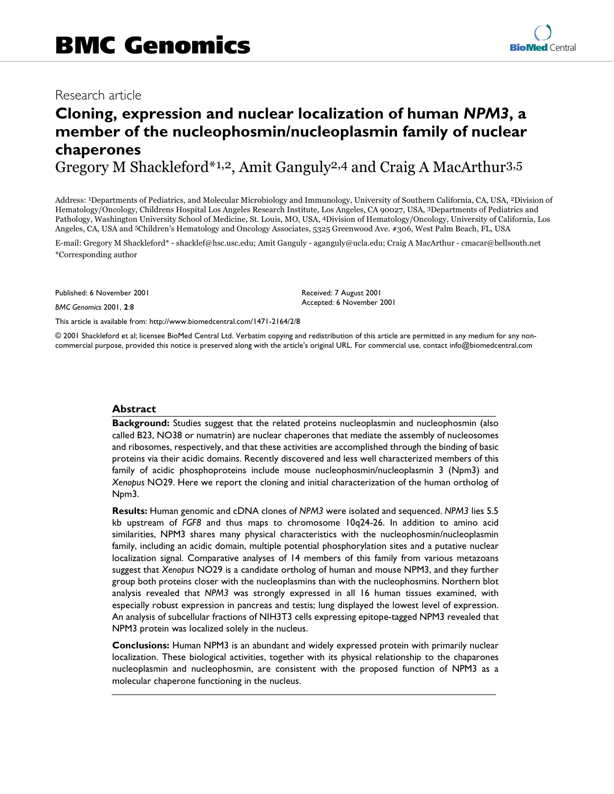# Research article

# **Cloning, expression and nuclear localization of human** *NPM3***, a member of the nucleophosmin/nucleoplasmin family of nuclear chaperones** Gregory M Shackleford\*1,2, Amit Ganguly2,4 and Craig A MacArthur3,5

Address: 1Departments of Pediatrics, and Molecular Microbiology and Immunology, University of Southern California, CA, USA, 2Division of Hematology/Oncology, Childrens Hospital Los Angeles Research Institute, Los Angeles, CA 90027, USA, 3Departments of Pediatrics and Pathology, Washington University School of Medicine, St. Louis, MO, USA, 4Division of Hematology/Oncology, University of California, Los Angeles, CA, USA and 5Children's Hematology and Oncology Associates, 5325 Greenwood Ave. #306, West Palm Beach, FL, USA

E-mail: Gregory M Shackleford\* - shacklef@hsc.usc.edu; Amit Ganguly - aganguly@ucla.edu; Craig A MacArthur - cmacar@bellsouth.net \*Corresponding author

> Received: 7 August 2001 Accepted: 6 November 2001

Published: 6 November 2001

*BMC Genomics* 2001, **2**:8

[This article is available from: http://www.biomedcentral.com/1471-2164/2/8](http://www.biomedcentral.com/1471-2164/2/8)

© 2001 Shackleford et al; licensee BioMed Central Ltd. Verbatim copying and redistribution of this article are permitted in any medium for any noncommercial purpose, provided this notice is preserved along with the article's original URL. For commercial use, contact info@biomedcentral.com

### **Abstract**

**Background:** Studies suggest that the related proteins nucleoplasmin and nucleophosmin (also called B23, NO38 or numatrin) are nuclear chaperones that mediate the assembly of nucleosomes and ribosomes, respectively, and that these activities are accomplished through the binding of basic proteins via their acidic domains. Recently discovered and less well characterized members of this family of acidic phosphoproteins include mouse nucleophosmin/nucleoplasmin 3 (Npm3) and *Xenopus* NO29. Here we report the cloning and initial characterization of the human ortholog of Npm3.

**Results:** Human genomic and cDNA clones of *NPM3* were isolated and sequenced. *NPM3* lies 5.5 kb upstream of *FGF8* and thus maps to chromosome 10q24-26. In addition to amino acid similarities, NPM3 shares many physical characteristics with the nucleophosmin/nucleoplasmin family, including an acidic domain, multiple potential phosphorylation sites and a putative nuclear localization signal. Comparative analyses of 14 members of this family from various metazoans suggest that *Xenopus* NO29 is a candidate ortholog of human and mouse NPM3, and they further group both proteins closer with the nucleoplasmins than with the nucleophosmins. Northern blot analysis revealed that *NPM3* was strongly expressed in all 16 human tissues examined, with especially robust expression in pancreas and testis; lung displayed the lowest level of expression. An analysis of subcellular fractions of NIH3T3 cells expressing epitope-tagged NPM3 revealed that NPM3 protein was localized solely in the nucleus.

**Conclusions:** Human NPM3 is an abundant and widely expressed protein with primarily nuclear localization. These biological activities, together with its physical relationship to the chaparones nucleoplasmin and nucleophosmin, are consistent with the proposed function of NPM3 as a molecular chaperone functioning in the nucleus.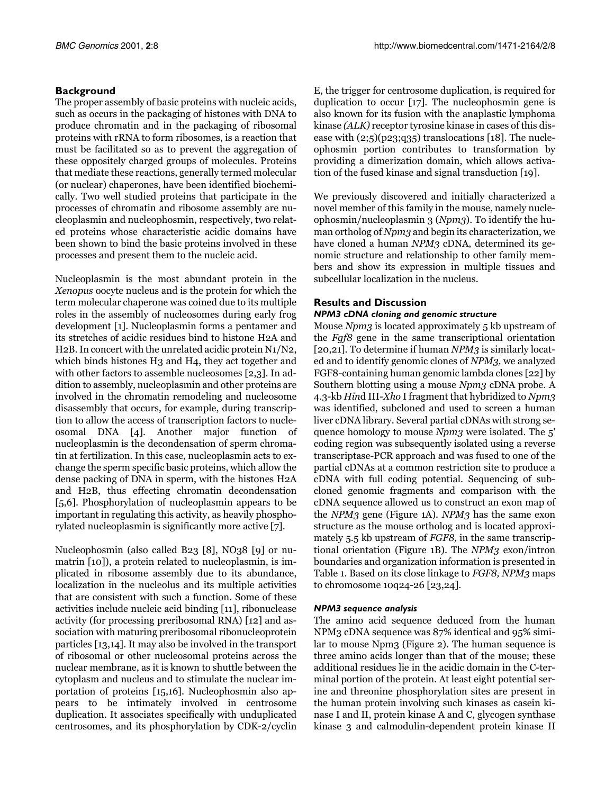# **Background**

The proper assembly of basic proteins with nucleic acids, such as occurs in the packaging of histones with DNA to produce chromatin and in the packaging of ribosomal proteins with rRNA to form ribosomes, is a reaction that must be facilitated so as to prevent the aggregation of these oppositely charged groups of molecules. Proteins that mediate these reactions, generally termed molecular (or nuclear) chaperones, have been identified biochemically. Two well studied proteins that participate in the processes of chromatin and ribosome assembly are nucleoplasmin and nucleophosmin, respectively, two related proteins whose characteristic acidic domains have been shown to bind the basic proteins involved in these processes and present them to the nucleic acid.

Nucleoplasmin is the most abundant protein in the *Xenopus* oocyte nucleus and is the protein for which the term molecular chaperone was coined due to its multiple roles in the assembly of nucleosomes during early frog development [[1\]](#page-7-0). Nucleoplasmin forms a pentamer and its stretches of acidic residues bind to histone H2A and H2B. In concert with the unrelated acidic protein N1/N2, which binds histones H<sub>3</sub> and H<sub>4</sub>, they act together and with other factors to assemble nucleosomes [[2](#page-7-1),[3](#page-7-2)]. In addition to assembly, nucleoplasmin and other proteins are involved in the chromatin remodeling and nucleosome disassembly that occurs, for example, during transcription to allow the access of transcription factors to nucleosomal DNA [[4](#page-7-3)]. Another major function of nucleoplasmin is the decondensation of sperm chromatin at fertilization. In this case, nucleoplasmin acts to exchange the sperm specific basic proteins, which allow the dense packing of DNA in sperm, with the histones H2A and H2B, thus effecting chromatin decondensation [[5,](#page-7-4)[6\]](#page-7-5). Phosphorylation of nucleoplasmin appears to be important in regulating this activity, as heavily phosphorylated nucleoplasmin is significantly more active [\[7](#page-7-6)].

Nucleophosmin (also called B23 [[8](#page-7-7)], NO38 [[9](#page-7-8)] or numatrin [\[10\]](#page-7-9)), a protein related to nucleoplasmin, is implicated in ribosome assembly due to its abundance, localization in the nucleolus and its multiple activities that are consistent with such a function. Some of these activities include nucleic acid binding [[11](#page-7-10)], ribonuclease activity (for processing preribosomal RNA) [\[12\]](#page-7-11) and association with maturing preribosomal ribonucleoprotein particles [[13](#page-7-12),[14\]](#page-7-13). It may also be involved in the transport of ribosomal or other nucleosomal proteins across the nuclear membrane, as it is known to shuttle between the cytoplasm and nucleus and to stimulate the nuclear importation of proteins [[15](#page-7-14),[16\]](#page-7-15). Nucleophosmin also appears to be intimately involved in centrosome duplication. It associates specifically with unduplicated centrosomes, and its phosphorylation by CDK-2/cyclin

E, the trigger for centrosome duplication, is required for duplication to occur [\[17](#page-7-16)]. The nucleophosmin gene is also known for its fusion with the anaplastic lymphoma kinase *(ALK)* receptor tyrosine kinase in cases of this disease with  $(2,5)(p23, q35)$  translocations [\[18](#page-7-17)]. The nucleophosmin portion contributes to transformation by providing a dimerization domain, which allows activation of the fused kinase and signal transduction [\[19](#page-7-18)].

We previously discovered and initially characterized a novel member of this family in the mouse, namely nucleophosmin/nucleoplasmin 3 (*Npm3*). To identify the human ortholog of *Npm3* and begin its characterization, we have cloned a human *NPM3* cDNA, determined its genomic structure and relationship to other family members and show its expression in multiple tissues and subcellular localization in the nucleus.

# **Results and Discussion** *NPM3 cDNA cloning and genomic structure*

Mouse *Npm3* is located approximately 5 kb upstream of the *Fgf8* gene in the same transcriptional orientation [[20](#page-8-0),[21](#page-8-1)]. To determine if human *NPM3* is similarly located and to identify genomic clones of *NPM3,* we analyzed FGF8-containing human genomic lambda clones [\[22](#page-8-2)] by Southern blotting using a mouse *Npm3* cDNA probe. A 4.3-kb *Hin*d III-*Xho* I fragment that hybridized to *Npm3* was identified, subcloned and used to screen a human liver cDNA library. Several partial cDNAs with strong sequence homology to mouse *Npm3* were isolated. The 5' coding region was subsequently isolated using a reverse transcriptase-PCR approach and was fused to one of the partial cDNAs at a common restriction site to produce a cDNA with full coding potential. Sequencing of subcloned genomic fragments and comparison with the cDNA sequence allowed us to construct an exon map of the *NPM3* gene (Figure [1](#page-2-0)A). *NPM3* has the same exon structure as the mouse ortholog and is located approximately 5.5 kb upstream of *FGF8,* in the same transcriptional orientation (Figure [1](#page-2-0)B). The *NPM3* exon/intron boundaries and organization information is presented in Table [1.](#page-2-1) Based on its close linkage to *FGF8, NPM3* maps to chromosome 10q24-26 [\[23](#page-8-3),[24\]](#page-8-4).

### *NPM3 sequence analysis*

The amino acid sequence deduced from the human NPM3 cDNA sequence was 87% identical and 95% similar to mouse Npm3 (Figure [2\)](#page-2-2). The human sequence is three amino acids longer than that of the mouse; these additional residues lie in the acidic domain in the C-terminal portion of the protein. At least eight potential serine and threonine phosphorylation sites are present in the human protein involving such kinases as casein kinase I and II, protein kinase A and C, glycogen synthase kinase 3 and calmodulin-dependent protein kinase II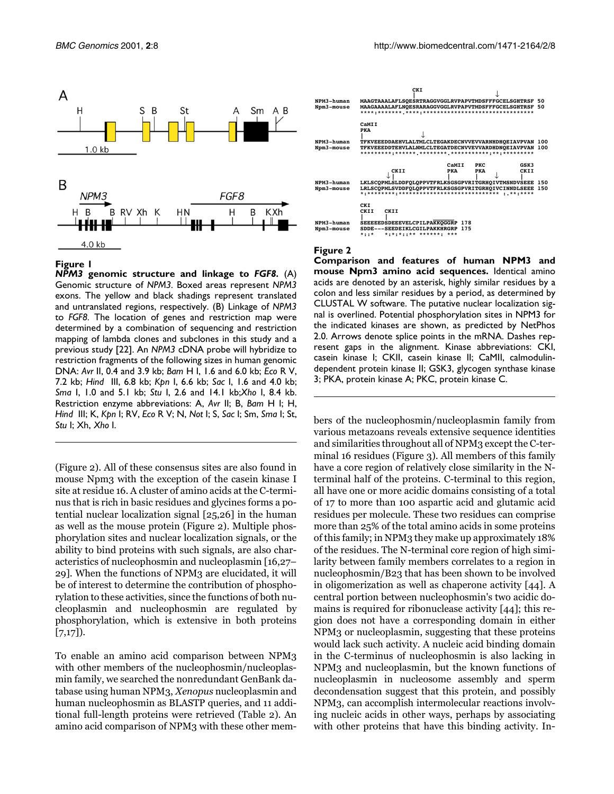

<span id="page-2-0"></span>*NPM3* **genomic structure and linkage to** *FGF8.* (A) Genomic structure of *NPM3.* Boxed areas represent *NPM3* exons. The yellow and black shadings represent translated and untranslated regions, respectively. (B) Linkage of *NPM3* to *FGF8.* The location of genes and restriction map were determined by a combination of sequencing and restriction mapping of lambda clones and subclones in this study and a previous study [[22\]](#page-8-2). An *NPM3* cDNA probe will hybridize to restriction fragments of the following sizes in human genomic DNA: *Avr* II, 0.4 and 3.9 kb; *Bam* H I, 1.6 and 6.0 kb; *Eco* R V, 7.2 kb; *Hind* III, 6.8 kb; *Kpn* I, 6.6 kb; *Sac* I, 1.6 and 4.0 kb; *Sma* I, 1.0 and 5.1 kb; *Stu* I, 2.6 and 14.1 kb;*Xho* I, 8.4 kb. Restriction enzyme abbreviations: A, *Avr* II; B, *Bam* H I; H, *Hind* III; K, *Kpn* I; RV, *Eco* R V; N, *Not* I; S, *Sac* I; Sm, *Sma* I; St, *Stu* I; Xh, *Xho* I.

(Figure [2\)](#page-2-2). All of these consensus sites are also found in mouse Npm3 with the exception of the casein kinase I site at residue 16. A cluster of amino acids at the C-terminus that is rich in basic residues and glycines forms a potential nuclear localization signal [[25,](#page-8-5)[26](#page-8-6)] in the human as well as the mouse protein (Figure [2\)](#page-2-2). Multiple phosphorylation sites and nuclear localization signals, or the ability to bind proteins with such signals, are also characteristics of nucleophosmin and nucleoplasmin [\[16](#page-7-15)[,27](#page-8-7) [29](#page-8-8)]. When the functions of NPM3 are elucidated, it will be of interest to determine the contribution of phosphorylation to these activities, since the functions of both nucleoplasmin and nucleophosmin are regulated by phosphorylation, which is extensive in both proteins  $[7,17]$  $[7,17]$  $[7,17]$  $[7,17]$ ).

<span id="page-2-1"></span>To enable an amino acid comparison between NPM3 with other members of the nucleophosmin/nucleoplasmin family, we searched the nonredundant GenBank database using human NPM3, *Xenopus* nucleoplasmin and human nucleophosmin as BLASTP queries, and 11 additional full-length proteins were retrieved (Table [2\)](#page-2-1). An amino acid comparison of NPM3 with these other mem-



#### <span id="page-2-2"></span>**Figure 2**

**Comparison and features of human NPM3 and mouse Npm3 amino acid sequences.** Identical amino acids are denoted by an asterisk, highly similar residues by a colon and less similar residues by a period, as determined by CLUSTAL W software. The putative nuclear localization signal is overlined. Potential phosphorylation sites in NPM3 for the indicated kinases are shown, as predicted by NetPhos 2.0. Arrows denote splice points in the mRNA. Dashes represent gaps in the alignment. Kinase abbreviations: CKI, casein kinase I; CKII, casein kinase II; CaMII, calmodulindependent protein kinase II; GSK3, glycogen synthase kinase 3; PKA, protein kinase A; PKC, protein kinase C.

bers of the nucleophosmin/nucleoplasmin family from various metazoans reveals extensive sequence identities and similarities throughout all of NPM3 except the C-terminal 16 residues (Figure [3\)](#page-4-0). All members of this family have a core region of relatively close similarity in the Nterminal half of the proteins. C-terminal to this region, all have one or more acidic domains consisting of a total of 17 to more than 100 aspartic acid and glutamic acid residues per molecule. These two residues can comprise more than 25% of the total amino acids in some proteins of this family; in NPM3 they make up approximately 18% of the residues. The N-terminal core region of high similarity between family members correlates to a region in nucleophosmin/B23 that has been shown to be involved in oligomerization as well as chaperone activity [\[44](#page-8-9)]. A central portion between nucleophosmin's two acidic domains is required for ribonuclease activity [\[44](#page-8-9)]; this region does not have a corresponding domain in either NPM3 or nucleoplasmin, suggesting that these proteins would lack such activity. A nucleic acid binding domain in the C-terminus of nucleophosmin is also lacking in NPM3 and nucleoplasmin, but the known functions of nucleoplasmin in nucleosome assembly and sperm decondensation suggest that this protein, and possibly NPM3, can accomplish intermolecular reactions involving nucleic acids in other ways, perhaps by associating with other proteins that have this binding activity. In-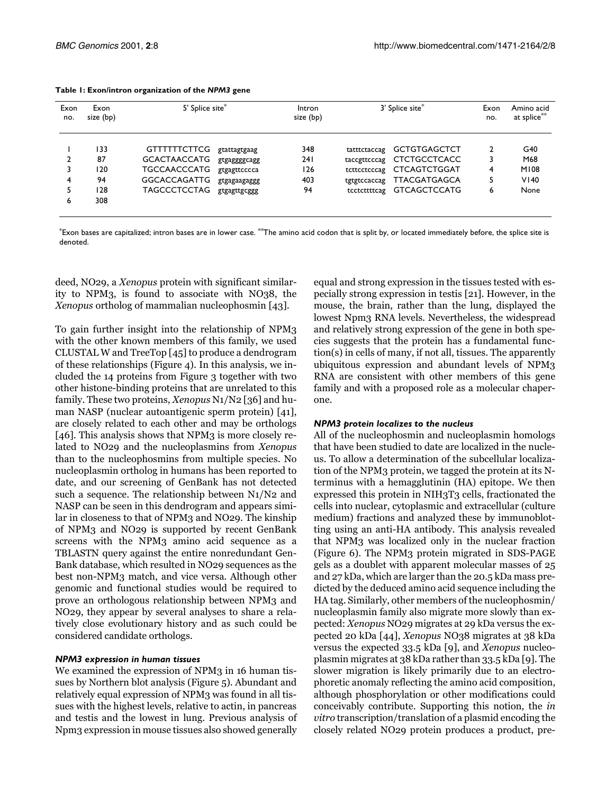| Exon<br>no. | Exon<br>size (bp) | 5' Splice site*                     | Intron<br>size (bp) | 3' Splice site* |                           | Exon<br>no. | Amino acid<br>at splice** |  |
|-------------|-------------------|-------------------------------------|---------------------|-----------------|---------------------------|-------------|---------------------------|--|
|             | 133               | <b>GTTTTTTCTTCG</b><br>gtattagtgaag | 348                 | tatttctaccag    | <b>GCTGTGAGCTCT</b>       |             | G40                       |  |
|             | 87                | <b>GCACTAACCATG</b><br>gtgaggggcagg | 241                 | taccgttcccag    | <b>CTCTGCCTCACC</b>       |             | M68                       |  |
|             | 120               | <b>TGCCAACCCATG</b><br>gtgagttcccca | 126                 | tcttcctcccag    | <b>CTCAGTCTGGAT</b>       | 4           | M108                      |  |
| 4           | 94                | <b>GGCACCAGATTG</b><br>gtgagaagaggg | 403                 | tgtgtccaccag    | TTACGATGAGCA              |             | VI40                      |  |
|             | 128               | TAGCCCTCCTAG<br>gtgagttgcggg        | 94                  |                 | tcctcttttcag GTCAGCTCCATG | 6           | None                      |  |
| 6           | 308               |                                     |                     |                 |                           |             |                           |  |

#### **Table 1: Exon/intron organization of the** *NPM3* **gene**

 $^*$ Exon bases are capitalized; intron bases are in lower case.  $^{*\! *}$ The amino acid codon that is split by, or located immediately before, the splice site is denoted.

deed, NO29, a *Xenopus* protein with significant similarity to NPM3, is found to associate with NO38, the *Xenopus* ortholog of mammalian nucleophosmin [[43](#page-8-10)].

To gain further insight into the relationship of NPM3 with the other known members of this family, we used CLUSTAL W and TreeTop [[45\]](#page-8-11) to produce a dendrogram of these relationships (Figure [4\)](#page-6-0). In this analysis, we included the 14 proteins from Figure [3](#page-4-0) together with two other histone-binding proteins that are unrelated to this family. These two proteins, *Xenopus* N1/N2 [\[36](#page-8-12)] and human NASP (nuclear autoantigenic sperm protein) [[41\]](#page-8-13), are closely related to each other and may be orthologs [[46\]](#page-8-14). This analysis shows that NPM3 is more closely related to NO29 and the nucleoplasmins from *Xenopus* than to the nucleophosmins from multiple species. No nucleoplasmin ortholog in humans has been reported to date, and our screening of GenBank has not detected such a sequence. The relationship between N1/N2 and NASP can be seen in this dendrogram and appears similar in closeness to that of NPM3 and NO29. The kinship of NPM3 and NO29 is supported by recent GenBank screens with the NPM3 amino acid sequence as a TBLASTN query against the entire nonredundant Gen-Bank database, which resulted in NO29 sequences as the best non-NPM3 match, and vice versa. Although other genomic and functional studies would be required to prove an orthologous relationship between NPM3 and NO29, they appear by several analyses to share a relatively close evolutionary history and as such could be considered candidate orthologs.

#### *NPM3 expression in human tissues*

We examined the expression of NPM3 in 16 human tissues by Northern blot analysis (Figure [5](#page-6-1)). Abundant and relatively equal expression of NPM3 was found in all tissues with the highest levels, relative to actin, in pancreas and testis and the lowest in lung. Previous analysis of Npm3 expression in mouse tissues also showed generally

equal and strong expression in the tissues tested with especially strong expression in testis [\[21\]](#page-8-1). However, in the mouse, the brain, rather than the lung, displayed the lowest Npm3 RNA levels. Nevertheless, the widespread and relatively strong expression of the gene in both species suggests that the protein has a fundamental function(s) in cells of many, if not all, tissues. The apparently ubiquitous expression and abundant levels of NPM3 RNA are consistent with other members of this gene family and with a proposed role as a molecular chaperone.

### *NPM3 protein localizes to the nucleus*

All of the nucleophosmin and nucleoplasmin homologs that have been studied to date are localized in the nucleus. To allow a determination of the subcellular localization of the NPM3 protein, we tagged the protein at its Nterminus with a hemagglutinin (HA) epitope. We then expressed this protein in NIH3T3 cells, fractionated the cells into nuclear, cytoplasmic and extracellular (culture medium) fractions and analyzed these by immunoblotting using an anti-HA antibody. This analysis revealed that NPM3 was localized only in the nuclear fraction (Figure [6\)](#page-7-19). The NPM3 protein migrated in SDS-PAGE gels as a doublet with apparent molecular masses of 25 and 27 kDa, which are larger than the 20.5 kDa mass predicted by the deduced amino acid sequence including the HA tag. Similarly, other members of the nucleophosmin/ nucleoplasmin family also migrate more slowly than expected: *Xenopus* NO29 migrates at 29 kDa versus the expected 20 kDa [\[44](#page-8-9)], *Xenopus* NO38 migrates at 38 kDa versus the expected 33.5 kDa [[9](#page-7-8)], and *Xenopus* nucleoplasmin migrates at 38 kDa rather than 33.5 kDa [\[9\]](#page-7-8). The slower migration is likely primarily due to an electrophoretic anomaly reflecting the amino acid composition, although phosphorylation or other modifications could conceivably contribute. Supporting this notion, the *in vitro* transcription/translation of a plasmid encoding the closely related NO29 protein produces a product, pre-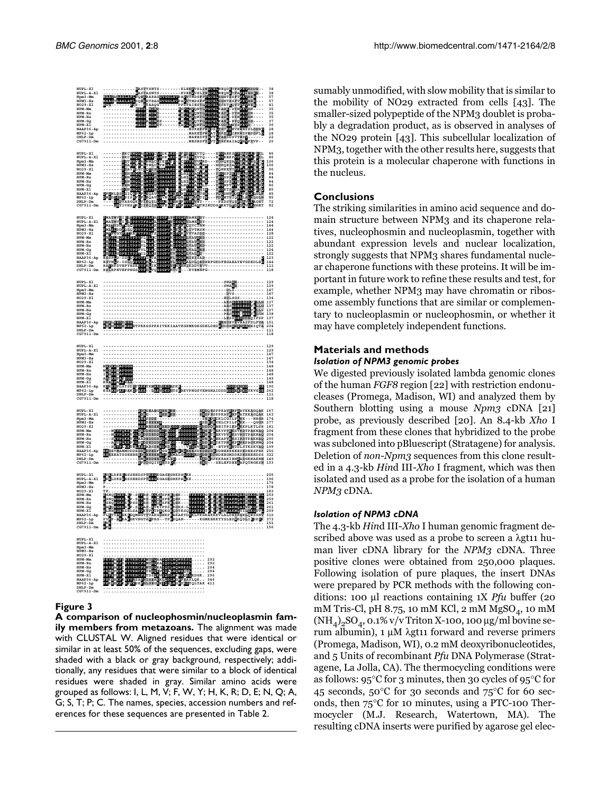

<span id="page-4-0"></span>**A comparison of nucleophosmin/nucleoplasmin family members from metazoans.** The alignment was made with CLUSTAL W. Aligned residues that were identical or similar in at least 50% of the sequences, excluding gaps, were shaded with a black or gray background, respectively; additionally, any residues that were similar to a block of identical residues were shaded in gray. Similar amino acids were grouped as follows: I, L, M, V; F, W, Y; H, K, R; D, E; N, Q; A, G; S, T; P; C. The names, species, accession numbers and references for these sequences are presented in Table [2.](#page-2-1)

sumably unmodified, with slow mobility that is similar to the mobility of NO29 extracted from cells [[43](#page-8-10)]. The smaller-sized polypeptide of the NPM3 doublet is probably a degradation product, as is observed in analyses of the NO29 protein [[43](#page-8-10)]. This subcellular localization of NPM3, together with the other results here, suggests that this protein is a molecular chaperone with functions in the nucleus.

## **Conclusions**

The striking similarities in amino acid sequence and domain structure between NPM3 and its chaperone relatives, nucleophosmin and nucleoplasmin, together with abundant expression levels and nuclear localization, strongly suggests that NPM3 shares fundamental nuclear chaperone functions with these proteins. It will be important in future work to refine these results and test, for example, whether NPM3 may have chromatin or ribosome assembly functions that are similar or complementary to nucleoplasmin or nucleophosmin, or whether it may have completely independent functions.

### **Materials and methods** *Isolation of NPM3 genomic probes*

We digested previously isolated lambda genomic clones of the human *FGF8* region [[22\]](#page-8-2) with restriction endonucleases (Promega, Madison, WI) and analyzed them by Southern blotting using a mouse *Npm3* cDNA [[21](#page-8-1)] probe, as previously described [[20](#page-8-0)]. An 8.4-kb *Xho* I fragment from these clones that hybridized to the probe was subcloned into pBluescript (Stratagene) for analysis. Deletion of *non-Npm3* sequences from this clone resulted in a 4.3-kb *Hin*d III-*Xho* I fragment, which was then isolated and used as a probe for the isolation of a human *NPM3* cDNA.

### *Isolation of NPM3 cDNA*

The 4.3-kb *Hin*d III-*Xho* I human genomic fragment described above was used as a probe to screen a λgt11 human liver cDNA library for the *NPM3* cDNA. Three positive clones were obtained from 250,000 plaques. Following isolation of pure plaques, the insert DNAs were prepared by PCR methods with the following conditions: 100 µl reactions containing 1X *Pfu* buffer (20 mM Tris-Cl, pH 8.75, 10 mM KCl, 2 mM  $MgSO<sub>4</sub>$ , 10 mM  $(NH_4)_2SO_4$ , 0.1% v/v Triton X-100, 100 µg/ml bovine serum albumin), 1 µM λgt11 forward and reverse primers (Promega, Madison, WI), 0.2 mM deoxyribonucleotides, and 5 Units of recombinant *Pfu* DNA Polymerase (Stratagene, La Jolla, CA). The thermocycling conditions were as follows: 95°C for 3 minutes, then 30 cycles of 95°C for 45 seconds, 50°C for 30 seconds and 75°C for 60 seconds, then 75°C for 10 minutes, using a PTC-100 Thermocycler (M.J. Research, Watertown, MA). The resulting cDNA inserts were purified by agarose gel elec-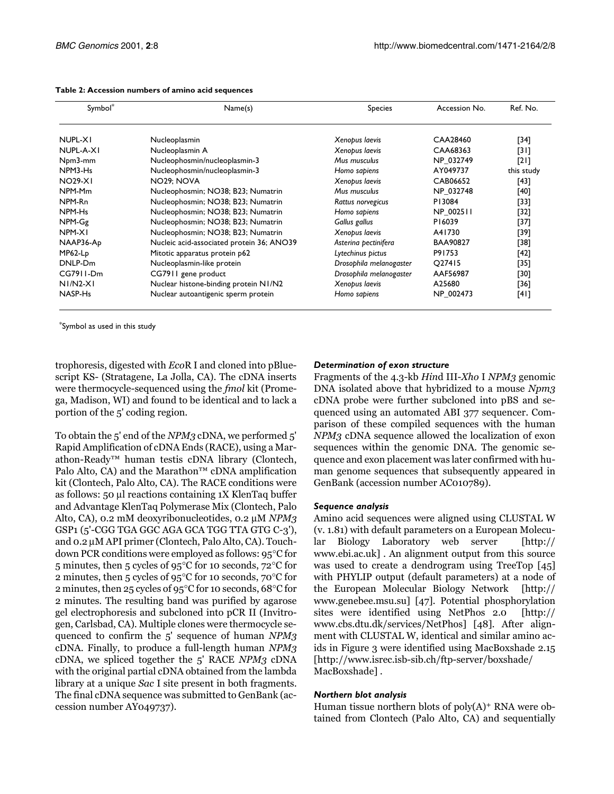| Symbol <sup>*</sup> | Name(s)                                   | <b>Species</b>          | Accession No. | Ref. No.   |
|---------------------|-------------------------------------------|-------------------------|---------------|------------|
| NUPL-XI             | Nucleoplasmin                             | Xenopus laevis          | CAA28460      | [34]       |
| NUPL-A-XI           | Nucleoplasmin A                           | Xenopus laevis          | CAA68363      | [31]       |
| Npm3-mm             | Nucleophosmin/nucleoplasmin-3             | Mus musculus            | NP 032749     | [21]       |
| NPM3-Hs             | Nucleophosmin/nucleoplasmin-3             | Homo sapiens            | AY049737      | this study |
| <b>NO29-XI</b>      | NO29: NOVA                                | Xenopus laevis          | CAB06652      | [43]       |
| NPM-Mm              | Nucleophosmin; NO38; B23; Numatrin        | Mus musculus            | NP 032748     | [40]       |
| NPM-Rn              | Nucleophosmin; NO38; B23; Numatrin        | Rattus norvegicus       | P13084        | [33]       |
| NPM-H <sub>s</sub>  | Nucleophosmin; NO38; B23; Numatrin        | Homo sapiens            | NP 002511     | [32]       |
| NPM-Gg              | Nucleophosmin; NO38; B23; Numatrin        | Gallus gallus           | P16039        | [37]       |
| NPM-XI              | Nucleophosmin; NO38; B23; Numatrin        | Xenopus laevis          | A41730        | [39]       |
| NAAP36-Ap           | Nucleic acid-associated protein 36; ANO39 | Asterina pectinifera    | BAA90827      | [38]       |
| MP62-Lp             | Mitotic apparatus protein p62             | Lytechinus pictus       | P91753        | [42]       |
| DNLP-Dm             | Nucleoplasmin-like protein                | Drosophila melanogaster | Q27415        | [35]       |
| CG7911-Dm           | CG7911 gene product                       | Drosophila melanogaster | AAF56987      | [30]       |
| $NI/N2-XI$          | Nuclear histone-binding protein N1/N2     | Xenopus laevis          | A25680        | [36]       |
| NASP-H <sub>s</sub> | Nuclear autoantigenic sperm protein       | Homo sapiens            | NP 002473     | [41]       |

#### **Table 2: Accession numbers of amino acid sequences**

\*Symbol as used in this study

trophoresis, digested with *Eco*R I and cloned into pBluescript KS- (Stratagene, La Jolla, CA). The cDNA inserts were thermocycle-sequenced using the *fmol* kit (Promega, Madison, WI) and found to be identical and to lack a portion of the 5' coding region.

To obtain the 5' end of the *NPM3* cDNA, we performed 5' Rapid Amplification of cDNA Ends (RACE), using a Marathon-Ready<sup>TM</sup> human testis cDNA library (Clontech, Palo Alto, CA) and the Marathon<sup> $TM$ </sup> cDNA amplification kit (Clontech, Palo Alto, CA). The RACE conditions were as follows: 50 µl reactions containing 1X KlenTaq buffer and Advantage KlenTaq Polymerase Mix (Clontech, Palo Alto, CA), 0.2 mM deoxyribonucleotides, 0.2 µM *NPM3* GSP1 (5'-CGG TGA GGC AGA GCA TGG TTA GTG C-3'), and 0.2 µM API primer (Clontech, Palo Alto, CA). Touchdown PCR conditions were employed as follows: 95°C for 5 minutes, then 5 cycles of 95°C for 10 seconds, 72°C for 2 minutes, then 5 cycles of 95°C for 10 seconds, 70°C for 2 minutes, then 25 cycles of 95°C for 10 seconds, 68°C for 2 minutes. The resulting band was purified by agarose gel electrophoresis and subcloned into pCR II (Invitrogen, Carlsbad, CA). Multiple clones were thermocycle sequenced to confirm the 5' sequence of human *NPM3* cDNA. Finally, to produce a full-length human *NPM3* cDNA, we spliced together the 5' RACE *NPM3* cDNA with the original partial cDNA obtained from the lambda library at a unique *Sac* I site present in both fragments. The final cDNA sequence was submitted to GenBank (accession number AY049737).

### *Determination of exon structure*

Fragments of the 4.3-kb *Hin*d III-*Xho* I *NPM3* genomic DNA isolated above that hybridized to a mouse *Npm3* cDNA probe were further subcloned into pBS and sequenced using an automated ABI 377 sequencer. Comparison of these compiled sequences with the human *NPM3* cDNA sequence allowed the localization of exon sequences within the genomic DNA. The genomic sequence and exon placement was later confirmed with human genome sequences that subsequently appeared in GenBank (accession number AC010789).

### *Sequence analysis*

[Amino acid sequences were aligned using CLUSTAL W](http://www.ebi.ac.uk) (v. 1.81) with default parameters on a European Molecular Biology Laboratory web server [http:// www.ebi.ac.uk] . An alignment output from this source was used to create a dendrogram using TreeTop [[45](#page-8-11)] with PHYLIP output (default parameters) at a node of [the European Molecular Biology Network \[](http://www.ebi.ac.uk)[http://](http://www.genebee.msu.su) [www.genebee.msu.su\] \[47\]. Potential phosphorylation](http://www.genebee.msu.su) [sites were identified using NetPhos 2.0 \[](http://www.genebee.msu.su)[http://](http://www.cbs.dtu.dk/services/NetPhos) [www.cbs.dtu.dk/services/NetPhos\] \[48\]. After align](http://www.cbs.dtu.dk/services/NetPhos)ment with CLUSTAL W, identical and similar amino acids in Figure [3](#page-4-0) were identified using MacBoxshade 2.15 [\[](http://www.cbs.dtu.dk/services/NetPhos)[http://www.isrec.isb-sib.ch/ftp-server/boxshade/](http://www.isrec.isb-sib.ch/ftp-server/boxshade/MacBoxshade) [MacBoxshade\] .](http://www.isrec.isb-sib.ch/ftp-server/boxshade/MacBoxshade)

#### *Northern blot analysis*

Human tissue northern blots of poly(A)+ RNA were obtained from Clontech (Palo Alto, CA) and sequentially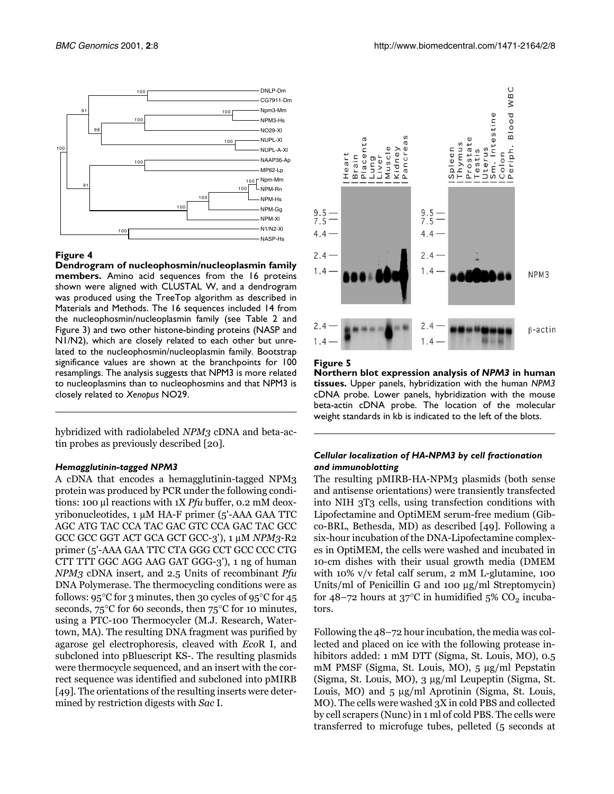

<span id="page-6-0"></span>**Dendrogram of nucleophosmin/nucleoplasmin family members.** Amino acid sequences from the 16 proteins shown were aligned with CLUSTAL W, and a dendrogram was produced using the TreeTop algorithm as described in Materials and Methods. The 16 sequences included 14 from the nucleophosmin/nucleoplasmin family (see Table [2](#page-2-1) and Figure [3](#page-4-0)) and two other histone-binding proteins (NASP and N1/N2), which are closely related to each other but unrelated to the nucleophosmin/nucleoplasmin family. Bootstrap significance values are shown at the branchpoints for 100 resamplings. The analysis suggests that NPM3 is more related to nucleoplasmins than to nucleophosmins and that NPM3 is closely related to *Xenopus* NO29.

hybridized with radiolabeled *NPM3* cDNA and beta-actin probes as previously described [[20](#page-8-0)].

### *Hemagglutinin-tagged NPM3*

A cDNA that encodes a hemagglutinin-tagged NPM3 protein was produced by PCR under the following conditions: 100 µl reactions with 1X *Pfu* buffer, 0.2 mM deoxyribonucleotides, 1 µM HA-F primer (5'-AAA GAA TTC AGC ATG TAC CCA TAC GAC GTC CCA GAC TAC GCC GCC GCC GGT ACT GCA GCT GCC-3'), 1 µM *NPM3*-R2 primer (5'-AAA GAA TTC CTA GGG CCT GCC CCC CTG CTT TTT GGC AGG AAG GAT GGG-3'), 1 ng of human *NPM3* cDNA insert, and 2.5 Units of recombinant *Pfu* DNA Polymerase. The thermocycling conditions were as follows:  $95^{\circ}$ C for 3 minutes, then 30 cycles of  $95^{\circ}$ C for 45 seconds, 75°C for 60 seconds, then 75°C for 10 minutes, using a PTC-100 Thermocycler (M.J. Research, Watertown, MA). The resulting DNA fragment was purified by agarose gel electrophoresis, cleaved with *Eco*R I, and subcloned into pBluescript KS-. The resulting plasmids were thermocycle sequenced, and an insert with the correct sequence was identified and subcloned into pMIRB [[49\]](#page-8-28). The orientations of the resulting inserts were determined by restriction digests with *Sac* I.





<span id="page-6-1"></span>**Figure 5**

**Northern blot expression analysis of** *NPM3* **in human tissues.** Upper panels, hybridization with the human *NPM3* cDNA probe. Lower panels, hybridization with the mouse beta-actin cDNA probe. The location of the molecular weight standards in kb is indicated to the left of the blots.

### *Cellular localization of HA-NPM3 by cell fractionation and immunoblotting*

The resulting pMIRB-HA-NPM3 plasmids (both sense and antisense orientations) were transiently transfected into NIH 3T3 cells, using transfection conditions with Lipofectamine and OptiMEM serum-free medium (Gibco-BRL, Bethesda, MD) as described [\[49](#page-8-28)]. Following a six-hour incubation of the DNA-Lipofectamine complexes in OptiMEM, the cells were washed and incubated in 10-cm dishes with their usual growth media (DMEM with 10% v/v fetal calf serum, 2 mM L-glutamine, 100 Units/ml of Penicillin G and 100 µg/ml Streptomycin) for 48–72 hours at  $37^{\circ}$ C in humidified  $5\%$  CO<sub>2</sub> incubators.

Following the  $48-72$  hour incubation, the media was collected and placed on ice with the following protease inhibitors added: 1 mM DTT (Sigma, St. Louis, MO), 0.5 mM PMSF (Sigma, St. Louis, MO), 5 µg/ml Pepstatin (Sigma, St. Louis, MO), 3 µg/ml Leupeptin (Sigma, St. Louis, MO) and 5 µg/ml Aprotinin (Sigma, St. Louis, MO). The cells were washed 3X in cold PBS and collected by cell scrapers (Nunc) in 1 ml of cold PBS. The cells were transferred to microfuge tubes, pelleted (5 seconds at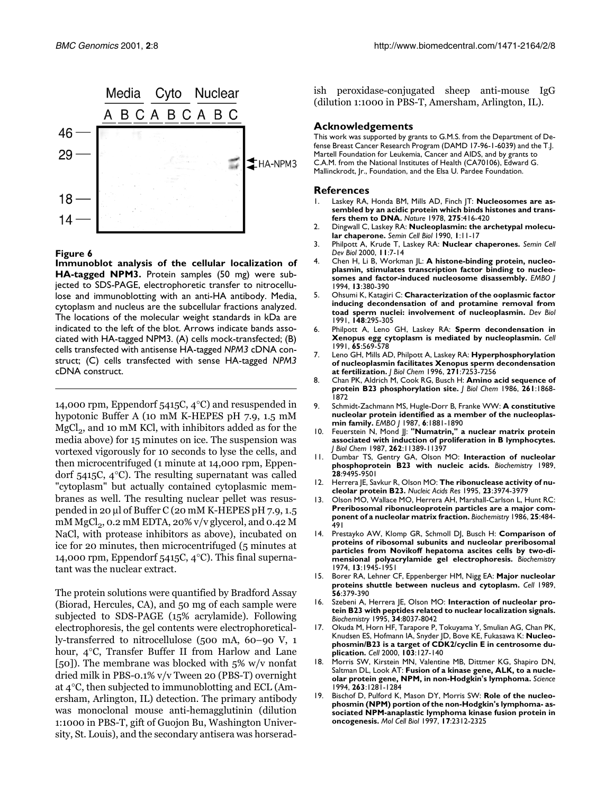

<span id="page-7-19"></span>**Immunoblot analysis of the cellular localization of HA-tagged NPM3.** Protein samples (50 mg) were subjected to SDS-PAGE, electrophoretic transfer to nitrocellulose and immunoblotting with an anti-HA antibody. Media, cytoplasm and nucleus are the subcellular fractions analyzed. The locations of the molecular weight standards in kDa are indicated to the left of the blot. Arrows indicate bands associated with HA-tagged NPM3. (A) cells mock-transfected; (B) cells transfected with antisense HA-tagged *NPM3* cDNA construct; (C) cells transfected with sense HA-tagged *NPM3* cDNA construct.

14,000 rpm, Eppendorf 5415C, 4°C) and resuspended in hypotonic Buffer A (10 mM K-HEPES pH 7.9, 1.5 mM  $MgCl<sub>2</sub>$ , and 10 mM KCl, with inhibitors added as for the media above) for 15 minutes on ice. The suspension was vortexed vigorously for 10 seconds to lyse the cells, and then microcentrifuged (1 minute at 14,000 rpm, Eppendorf 5415C, 4°C). The resulting supernatant was called "cytoplasm" but actually contained cytoplasmic membranes as well. The resulting nuclear pellet was resuspended in 20 µl of Buffer C (20 mM K-HEPES pH 7.9, 1.5 mM MgCl<sub>2</sub>, 0.2 mM EDTA, 20% v/v glycerol, and 0.42 M NaCl, with protease inhibitors as above), incubated on ice for 20 minutes, then microcentrifuged (5 minutes at 14,000 rpm, Eppendorf 5415C,  $4^{\circ}$ C). This final supernatant was the nuclear extract.

The protein solutions were quantified by Bradford Assay (Biorad, Hercules, CA), and 50 mg of each sample were subjected to SDS-PAGE (15% acrylamide). Following electrophoresis, the gel contents were electrophoretically-transferred to nitrocellulose (500 mA, 60-90 V,  $1$ hour, 4°C, Transfer Buffer II from Harlow and Lane [[50\]](#page-8-29)). The membrane was blocked with 5% w/v nonfat dried milk in PBS-0.1% v/v Tween 20 (PBS-T) overnight at 4°C, then subjected to immunoblotting and ECL (Amersham, Arlington, IL) detection. The primary antibody was monoclonal mouse anti-hemagglutinin (dilution 1:1000 in PBS-T, gift of Guojon Bu, Washington University, St. Louis), and the secondary antisera was horseradish peroxidase-conjugated sheep anti-mouse IgG (dilution 1:1000 in PBS-T, Amersham, Arlington, IL).

#### **Acknowledgements**

This work was supported by grants to G.M.S. from the Department of Defense Breast Cancer Research Program (DAMD 17-96-1-6039) and the T.J. Martell Foundation for Leukemia, Cancer and AIDS, and by grants to C.A.M. from the National Institutes of Health (CA70106), Edward G. Mallinckrodt, Jr., Foundation, and the Elsa U. Pardee Foundation.

#### **References**

- <span id="page-7-0"></span>1. [Laskey RA, Honda BM, Mills AD, Finch JT:](http://www.ncbi.nlm.nih.gov/entrez/query.fcgi?cmd=Retrieve&db=PubMed&dopt=Abstract&list_uids=692721) **Nucleosomes are assembled by an acidic protein which binds histones and transfers them to DNA.** *Nature* 1978, **275**:416-420
- <span id="page-7-1"></span>2. [Dingwall C, Laskey RA:](http://www.ncbi.nlm.nih.gov/entrez/query.fcgi?cmd=Retrieve&db=PubMed&dopt=Abstract&list_uids=1983266) **Nucleoplasmin: the archetypal molecular chaperone.** *Semin Cell Biol* 1990, **1**:11-17
- <span id="page-7-2"></span>3. [Philpott A, Krude T, Laskey RA:](http://www.ncbi.nlm.nih.gov/entrez/query.fcgi?cmd=Retrieve&db=PubMed&dopt=Abstract&list_uids=10736259) **Nuclear chaperones.** *Semin Cell Dev Biol* 2000, **11**:7-14
- <span id="page-7-3"></span>4. [Chen H, Li B, Workman JL:](http://www.ncbi.nlm.nih.gov/entrez/query.fcgi?cmd=Retrieve&db=PubMed&dopt=Abstract&list_uids=8313883) **A histone-binding protein, nucleoplasmin, stimulates transcription factor binding to nucleosomes and factor-induced nucleosome disassembly.** *EMBO J* 1994, **13**:380-390
- <span id="page-7-4"></span>5. [Ohsumi K, Katagiri C:](http://www.ncbi.nlm.nih.gov/entrez/query.fcgi?cmd=Retrieve&db=PubMed&dopt=Abstract&list_uids=1936566) **Characterization of the ooplasmic factor inducing decondensation of and protamine removal from toad sperm nuclei: involvement of nucleoplasmin.** *Dev Biol* 1991, **148**:295-305
- <span id="page-7-5"></span>6. [Philpott A, Leno GH, Laskey RA:](http://www.ncbi.nlm.nih.gov/entrez/query.fcgi?cmd=Retrieve&db=PubMed&dopt=Abstract&list_uids=2032284) **Sperm decondensation in Xenopus egg cytoplasm is mediated by nucleoplasmin.** *Cell* 1991, **65**:569-578
- <span id="page-7-6"></span>7. [Leno GH, Mills AD, Philpott A, Laskey RA:](http://www.ncbi.nlm.nih.gov/entrez/query.fcgi?cmd=Retrieve&db=PubMed&dopt=Abstract&list_uids=8631735) **Hyperphosphorylation of nucleoplasmin facilitates Xenopus sperm decondensation at fertilization.** *J Biol Chem* 1996, **271**:7253-7256
- <span id="page-7-7"></span>8. [Chan PK, Aldrich M, Cook RG, Busch H:](http://www.ncbi.nlm.nih.gov/entrez/query.fcgi?cmd=Retrieve&db=PubMed&dopt=Abstract&list_uids=3944116) **Amino acid sequence of protein B23 phosphorylation site.** *J Biol Chem* 1986, **261**:1868- .<br>1872
- <span id="page-7-8"></span>9. [Schmidt-Zachmann MS, Hugle-Dorr B, Franke WW:](http://www.ncbi.nlm.nih.gov/entrez/query.fcgi?cmd=Retrieve&db=PubMed&dopt=Abstract&list_uids=3308448) **A constitutive nucleolar protein identified as a member of the nucleoplasmin family.** *EMBO J* 1987, **6**:1881-1890
- <span id="page-7-9"></span>10. [Feuerstein N, Mond JJ:](http://www.ncbi.nlm.nih.gov/entrez/query.fcgi?cmd=Retrieve&db=PubMed&dopt=Abstract&list_uids=3301855) **"Numatrin," a nuclear matrix protein associated with induction of proliferation in B lymphocytes.** *J Biol Chem* 1987, **262**:11389-11397
- <span id="page-7-10"></span>11. [Dumbar TS, Gentry GA, Olson MO:](http://www.ncbi.nlm.nih.gov/entrez/query.fcgi?cmd=Retrieve&db=PubMed&dopt=Abstract&list_uids=2482073) **Interaction of nucleolar phosphoprotein B23 with nucleic acids.** *Biochemistry* 1989, **28**:9495-9501
- <span id="page-7-11"></span>12. [Herrera JE, Savkur R, Olson MO:](http://www.ncbi.nlm.nih.gov/entrez/query.fcgi?cmd=Retrieve&db=PubMed&dopt=Abstract&list_uids=7479045) **The ribonuclease activity of nucleolar protein B23.** *Nucleic Acids Res* 1995, **23**:3974-3979
- <span id="page-7-12"></span>[13. Olson MO, Wallace MO, Herrera AH, Marshall-Carlson L, Hunt RC:](http://www.ncbi.nlm.nih.gov/entrez/query.fcgi?cmd=Retrieve&db=PubMed&dopt=Abstract&list_uids=3955008) **Preribosomal ribonucleoprotein particles are a major component of a nucleolar matrix fraction.** *Biochemistry* 1986, **25**:484- 491
- <span id="page-7-13"></span>14. [Prestayko AW, Klomp GR, Schmoll DJ, Busch H:](http://www.ncbi.nlm.nih.gov/entrez/query.fcgi?cmd=Retrieve&db=PubMed&dopt=Abstract&list_uids=4366268) **Comparison of proteins of ribosomal subunits and nucleolar preribosomal particles from Novikoff hepatoma ascites cells by two-dimensional polyacrylamide gel electrophoresis.** *Biochemistry* 1974, **13**:1945-1951
- <span id="page-7-14"></span>15. [Borer RA, Lehner CF, Eppenberger HM, Nigg EA:](http://www.ncbi.nlm.nih.gov/entrez/query.fcgi?cmd=Retrieve&db=PubMed&dopt=Abstract&list_uids=2914325) **Major nucleolar proteins shuttle between nucleus and cytoplasm.** *Cell* 1989, **56**:379-390
- <span id="page-7-15"></span>16. [Szebeni A, Herrera JE, Olson MO:](http://www.ncbi.nlm.nih.gov/entrez/query.fcgi?cmd=Retrieve&db=PubMed&dopt=Abstract&list_uids=7794916) **Interaction of nucleolar protein B23 with peptides related to nuclear localization signals.** *Biochemistry* 1995, **34**:8037-8042
- <span id="page-7-16"></span>17. [Okuda M, Horn HF, Tarapore P, Tokuyama Y, Smulian AG, Chan PK,](http://www.ncbi.nlm.nih.gov/entrez/query.fcgi?cmd=Retrieve&db=PubMed&dopt=Abstract&list_uids=11051553) [Knudsen ES, Hofmann IA, Snyder JD, Bove KE, Fukasawa K:](http://www.ncbi.nlm.nih.gov/entrez/query.fcgi?cmd=Retrieve&db=PubMed&dopt=Abstract&list_uids=11051553) **Nucleophosmin/B23 is a target of CDK2/cyclin E in centrosome duplication.** *Cell* 2000, **103**:127-140
- <span id="page-7-17"></span>18. [Morris SW, Kirstein MN, Valentine MB, Dittmer KG, Shapiro DN,](http://www.ncbi.nlm.nih.gov/entrez/query.fcgi?cmd=Retrieve&db=PubMed&dopt=Abstract&list_uids=8122112) [Saltman DL, Look AT:](http://www.ncbi.nlm.nih.gov/entrez/query.fcgi?cmd=Retrieve&db=PubMed&dopt=Abstract&list_uids=8122112) **Fusion of a kinase gene, ALK, to a nucleolar protein gene, NPM, in non-Hodgkin's lymphoma.** *Science* 1994, **263**:1281-1284
- <span id="page-7-18"></span>Bischof D, Pulford K, Mason DY, Morris SW: Role of the nucleo**phosmin (NPM) portion of the non-Hodgkin's lymphoma- associated NPM-anaplastic lymphoma kinase fusion protein in oncogenesis.** *Mol Cell Biol* 1997, **17**:2312-2325